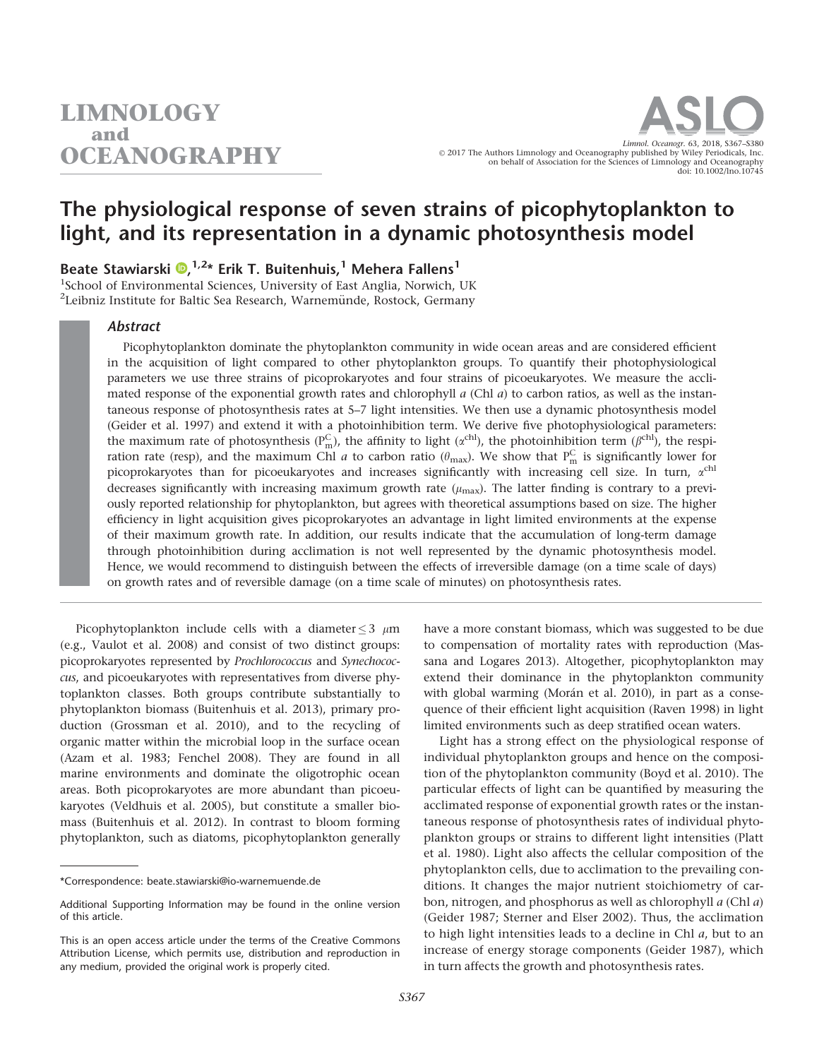# The physiological response of seven strains of picophytoplankton to light, and its representation in a dynamic photosynthesis model

Beate Stawiarski D,<sup>1,2\*</sup> Erik T. Buitenhuis,<sup>1</sup> Mehera Fallens<sup>1</sup>

<sup>1</sup>School of Environmental Sciences, University of East Anglia, Norwich, UK <sup>2</sup>Leibniz Institute for Baltic Sea Research, Warnemünde, Rostock, Germany

# Abstract

Picophytoplankton dominate the phytoplankton community in wide ocean areas and are considered efficient in the acquisition of light compared to other phytoplankton groups. To quantify their photophysiological parameters we use three strains of picoprokaryotes and four strains of picoeukaryotes. We measure the acclimated response of the exponential growth rates and chlorophyll  $a$  (Chl  $a$ ) to carbon ratios, as well as the instantaneous response of photosynthesis rates at 5–7 light intensities. We then use a dynamic photosynthesis model (Geider et al. 1997) and extend it with a photoinhibition term. We derive five photophysiological parameters: the maximum rate of photosynthesis ( $P_m^C$ ), the affinity to light ( $\alpha^{ch}$ ), the photoinhibition term ( $\beta^{ch}$ ), the respiration rate (resp), and the maximum Chl *a* to carbon ratio ( $\theta_{\rm max}$ ). We show that  $P_m^C$  is significantly lower for picoprokaryotes than for picoeukaryotes and increases significantly with increasing cell size. In turn,  $\alpha^{\text{ch}}$ decreases significantly with increasing maximum growth rate  $(\mu_{\text{max}})$ . The latter finding is contrary to a previously reported relationship for phytoplankton, but agrees with theoretical assumptions based on size. The higher efficiency in light acquisition gives picoprokaryotes an advantage in light limited environments at the expense of their maximum growth rate. In addition, our results indicate that the accumulation of long-term damage through photoinhibition during acclimation is not well represented by the dynamic photosynthesis model. Hence, we would recommend to distinguish between the effects of irreversible damage (on a time scale of days) on growth rates and of reversible damage (on a time scale of minutes) on photosynthesis rates.

Picophytoplankton include cells with a diameter  $\leq$  3  $\mu$ m (e.g., Vaulot et al. 2008) and consist of two distinct groups: picoprokaryotes represented by Prochlorococcus and Synechococcus, and picoeukaryotes with representatives from diverse phytoplankton classes. Both groups contribute substantially to phytoplankton biomass (Buitenhuis et al. 2013), primary production (Grossman et al. 2010), and to the recycling of organic matter within the microbial loop in the surface ocean (Azam et al. 1983; Fenchel 2008). They are found in all marine environments and dominate the oligotrophic ocean areas. Both picoprokaryotes are more abundant than picoeukaryotes (Veldhuis et al. 2005), but constitute a smaller biomass (Buitenhuis et al. 2012). In contrast to bloom forming phytoplankton, such as diatoms, picophytoplankton generally

have a more constant biomass, which was suggested to be due to compensation of mortality rates with reproduction (Massana and Logares 2013). Altogether, picophytoplankton may extend their dominance in the phytoplankton community with global warming (Morán et al. 2010), in part as a consequence of their efficient light acquisition (Raven 1998) in light limited environments such as deep stratified ocean waters.

Light has a strong effect on the physiological response of individual phytoplankton groups and hence on the composition of the phytoplankton community (Boyd et al. 2010). The particular effects of light can be quantified by measuring the acclimated response of exponential growth rates or the instantaneous response of photosynthesis rates of individual phytoplankton groups or strains to different light intensities (Platt et al. 1980). Light also affects the cellular composition of the phytoplankton cells, due to acclimation to the prevailing conditions. It changes the major nutrient stoichiometry of carbon, nitrogen, and phosphorus as well as chlorophyll a (Chl a) (Geider 1987; Sterner and Elser 2002). Thus, the acclimation to high light intensities leads to a decline in Chl a, but to an increase of energy storage components (Geider 1987), which in turn affects the growth and photosynthesis rates.

<sup>\*</sup>Correspondence: beate.stawiarski@io-warnemuende.de

Additional Supporting Information may be found in the online version of this article.

This is an open access article under the terms of the [Creative Commons](http://creativecommons.org/licenses/by/4.0/) [Attribution](http://creativecommons.org/licenses/by/4.0/) License, which permits use, distribution and reproduction in any medium, provided the original work is properly cited.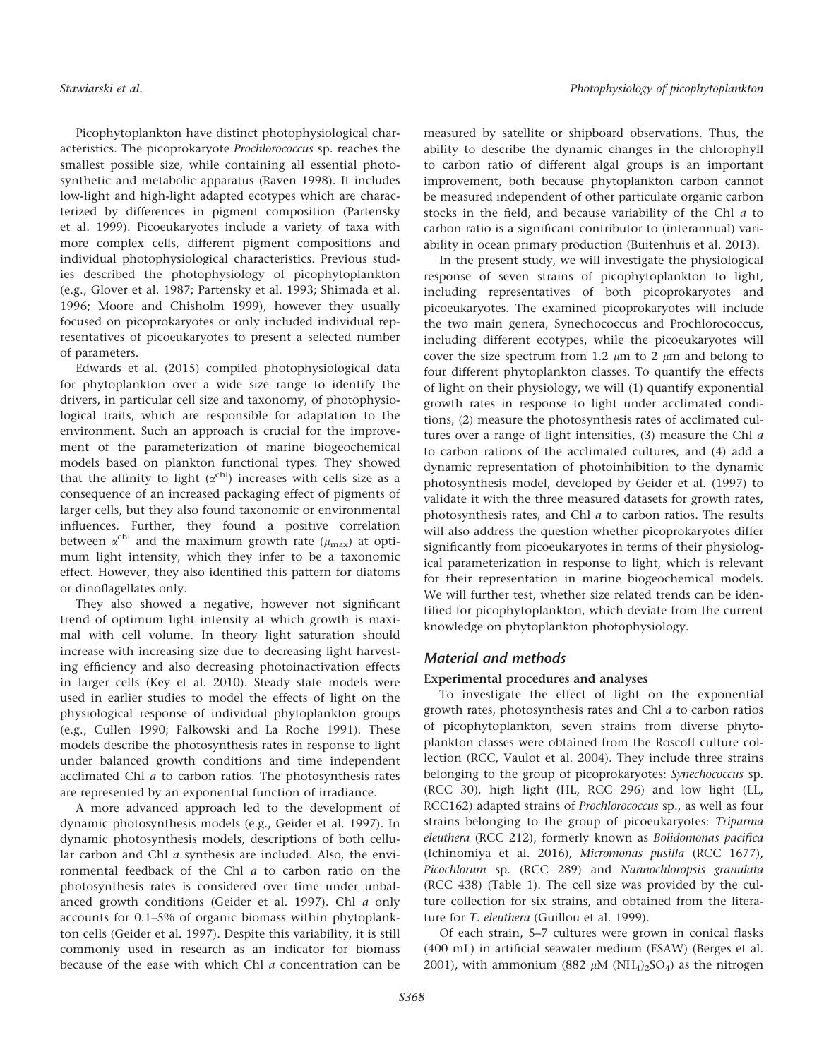Picophytoplankton have distinct photophysiological characteristics. The picoprokaryote Prochlorococcus sp. reaches the smallest possible size, while containing all essential photosynthetic and metabolic apparatus (Raven 1998). It includes low-light and high-light adapted ecotypes which are characterized by differences in pigment composition (Partensky et al. 1999). Picoeukaryotes include a variety of taxa with more complex cells, different pigment compositions and individual photophysiological characteristics. Previous studies described the photophysiology of picophytoplankton (e.g., Glover et al. 1987; Partensky et al. 1993; Shimada et al. 1996; Moore and Chisholm 1999), however they usually focused on picoprokaryotes or only included individual representatives of picoeukaryotes to present a selected number of parameters.

Edwards et al. (2015) compiled photophysiological data for phytoplankton over a wide size range to identify the drivers, in particular cell size and taxonomy, of photophysiological traits, which are responsible for adaptation to the environment. Such an approach is crucial for the improvement of the parameterization of marine biogeochemical models based on plankton functional types. They showed that the affinity to light  $(\alpha^{\text{ch}})$  increases with cells size as a consequence of an increased packaging effect of pigments of larger cells, but they also found taxonomic or environmental influences. Further, they found a positive correlation between  $\alpha^{\text{chl}}$  and the maximum growth rate ( $\mu_{\text{max}}$ ) at optimum light intensity, which they infer to be a taxonomic effect. However, they also identified this pattern for diatoms or dinoflagellates only.

They also showed a negative, however not significant trend of optimum light intensity at which growth is maximal with cell volume. In theory light saturation should increase with increasing size due to decreasing light harvesting efficiency and also decreasing photoinactivation effects in larger cells (Key et al. 2010). Steady state models were used in earlier studies to model the effects of light on the physiological response of individual phytoplankton groups (e.g., Cullen 1990; Falkowski and La Roche 1991). These models describe the photosynthesis rates in response to light under balanced growth conditions and time independent acclimated Chl a to carbon ratios. The photosynthesis rates are represented by an exponential function of irradiance.

A more advanced approach led to the development of dynamic photosynthesis models (e.g., Geider et al. 1997). In dynamic photosynthesis models, descriptions of both cellular carbon and Chl a synthesis are included. Also, the environmental feedback of the Chl a to carbon ratio on the photosynthesis rates is considered over time under unbalanced growth conditions (Geider et al. 1997). Chl a only accounts for 0.1–5% of organic biomass within phytoplankton cells (Geider et al. 1997). Despite this variability, it is still commonly used in research as an indicator for biomass because of the ease with which Chl a concentration can be

measured by satellite or shipboard observations. Thus, the ability to describe the dynamic changes in the chlorophyll to carbon ratio of different algal groups is an important improvement, both because phytoplankton carbon cannot be measured independent of other particulate organic carbon stocks in the field, and because variability of the Chl a to carbon ratio is a significant contributor to (interannual) variability in ocean primary production (Buitenhuis et al. 2013).

In the present study, we will investigate the physiological response of seven strains of picophytoplankton to light, including representatives of both picoprokaryotes and picoeukaryotes. The examined picoprokaryotes will include the two main genera, Synechococcus and Prochlorococcus, including different ecotypes, while the picoeukaryotes will cover the size spectrum from 1.2  $\mu$ m to 2  $\mu$ m and belong to four different phytoplankton classes. To quantify the effects of light on their physiology, we will (1) quantify exponential growth rates in response to light under acclimated conditions, (2) measure the photosynthesis rates of acclimated cultures over a range of light intensities, (3) measure the Chl a to carbon rations of the acclimated cultures, and (4) add a dynamic representation of photoinhibition to the dynamic photosynthesis model, developed by Geider et al. (1997) to validate it with the three measured datasets for growth rates, photosynthesis rates, and Chl a to carbon ratios. The results will also address the question whether picoprokaryotes differ significantly from picoeukaryotes in terms of their physiological parameterization in response to light, which is relevant for their representation in marine biogeochemical models. We will further test, whether size related trends can be identified for picophytoplankton, which deviate from the current knowledge on phytoplankton photophysiology.

## Material and methods

## Experimental procedures and analyses

To investigate the effect of light on the exponential growth rates, photosynthesis rates and Chl a to carbon ratios of picophytoplankton, seven strains from diverse phytoplankton classes were obtained from the Roscoff culture collection (RCC, Vaulot et al. 2004). They include three strains belonging to the group of picoprokaryotes: Synechococcus sp. (RCC 30), high light (HL, RCC 296) and low light (LL, RCC162) adapted strains of Prochlorococcus sp., as well as four strains belonging to the group of picoeukaryotes: Triparma eleuthera (RCC 212), formerly known as Bolidomonas pacifica (Ichinomiya et al. 2016), Micromonas pusilla (RCC 1677), Picochlorum sp. (RCC 289) and Nannochloropsis granulata (RCC 438) (Table 1). The cell size was provided by the culture collection for six strains, and obtained from the literature for T. eleuthera (Guillou et al. 1999).

Of each strain, 5–7 cultures were grown in conical flasks (400 mL) in artificial seawater medium (ESAW) (Berges et al. 2001), with ammonium (882  $\mu$ M (NH<sub>4</sub>)<sub>2</sub>SO<sub>4</sub>) as the nitrogen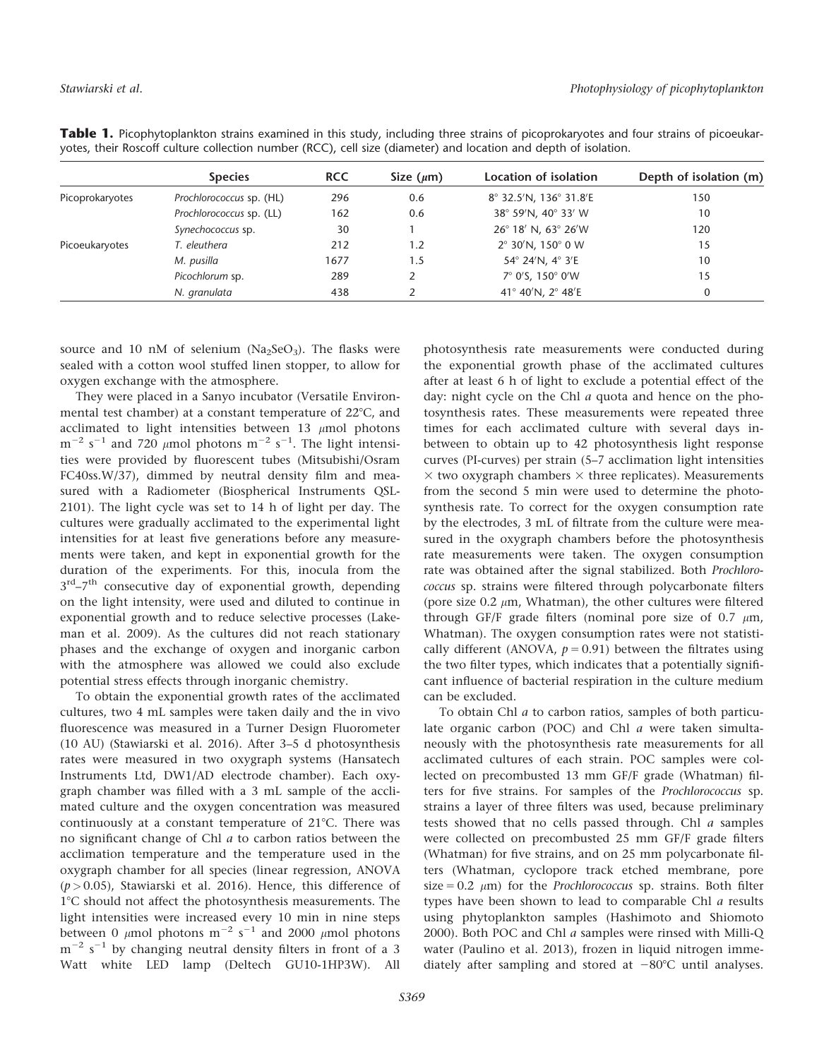|                 | <b>Species</b>           | <b>RCC</b> | Size $(\mu m)$ | Location of isolation                | Depth of isolation (m) |
|-----------------|--------------------------|------------|----------------|--------------------------------------|------------------------|
| Picoprokaryotes | Prochlorococcus sp. (HL) | 296        | 0.6            | 8° 32.5'N, 136° 31.8'E               | 150                    |
|                 | Prochlorococcus sp. (LL) | 162        | 0.6            | 38° 59'N, 40° 33' W                  | 10                     |
|                 | Synechococcus sp.        | 30         |                | 26° 18′ N, 63° 26′W                  | 120                    |
| Picoeukaryotes  | T. eleuthera             | 212        | 1.2            | $2^{\circ}$ 30'N, 150 $^{\circ}$ 0 W | 15                     |
|                 | M. pusilla               | 1677       | 1.5            | 54° 24'N, 4° 3'E                     | 10                     |
|                 | Picochlorum sp.          | 289        |                | 7° 0'S, 150° 0'W                     | 15                     |
|                 | N. granulata             | 438        |                | 41° 40′N, 2° 48′E                    | 0                      |
|                 |                          |            |                |                                      |                        |

Table 1. Picophytoplankton strains examined in this study, including three strains of picoprokaryotes and four strains of picoeukaryotes, their Roscoff culture collection number (RCC), cell size (diameter) and location and depth of isolation.

source and 10 nM of selenium ( $Na<sub>2</sub>SeO<sub>3</sub>$ ). The flasks were sealed with a cotton wool stuffed linen stopper, to allow for oxygen exchange with the atmosphere.

They were placed in a Sanyo incubator (Versatile Environmental test chamber) at a constant temperature of  $22^{\circ}$ C, and acclimated to light intensities between 13  $\mu$ mol photons  $\rm m^{-2}$  s $^{-1}$  and 720  $\rm \mu m$ ol photons  $\rm m^{-2}$  s $^{-1}.$  The light intensities were provided by fluorescent tubes (Mitsubishi/Osram FC40ss.W/37), dimmed by neutral density film and measured with a Radiometer (Biospherical Instruments QSL-2101). The light cycle was set to 14 h of light per day. The cultures were gradually acclimated to the experimental light intensities for at least five generations before any measurements were taken, and kept in exponential growth for the duration of the experiments. For this, inocula from the  $3<sup>rd</sup> - 7<sup>th</sup>$  consecutive day of exponential growth, depending on the light intensity, were used and diluted to continue in exponential growth and to reduce selective processes (Lakeman et al. 2009). As the cultures did not reach stationary phases and the exchange of oxygen and inorganic carbon with the atmosphere was allowed we could also exclude potential stress effects through inorganic chemistry.

To obtain the exponential growth rates of the acclimated cultures, two 4 mL samples were taken daily and the in vivo fluorescence was measured in a Turner Design Fluorometer (10 AU) (Stawiarski et al. 2016). After 3–5 d photosynthesis rates were measured in two oxygraph systems (Hansatech Instruments Ltd, DW1/AD electrode chamber). Each oxygraph chamber was filled with a 3 mL sample of the acclimated culture and the oxygen concentration was measured continuously at a constant temperature of  $21^{\circ}$ C. There was no significant change of Chl  $a$  to carbon ratios between the acclimation temperature and the temperature used in the oxygraph chamber for all species (linear regression, ANOVA  $(p > 0.05)$ , Stawiarski et al. 2016). Hence, this difference of 1°C should not affect the photosynthesis measurements. The light intensities were increased every 10 min in nine steps between 0  $\mu$ mol photons m<sup>-2</sup> s<sup>-1</sup> and 2000  $\mu$ mol photons  $\rm m^{-2}$  s<sup>-1</sup> by changing neutral density filters in front of a 3 Watt white LED lamp (Deltech GU10-1HP3W). All

photosynthesis rate measurements were conducted during the exponential growth phase of the acclimated cultures after at least 6 h of light to exclude a potential effect of the day: night cycle on the Chl a quota and hence on the photosynthesis rates. These measurements were repeated three times for each acclimated culture with several days inbetween to obtain up to 42 photosynthesis light response curves (PI-curves) per strain (5–7 acclimation light intensities  $\times$  two oxygraph chambers  $\times$  three replicates). Measurements from the second 5 min were used to determine the photosynthesis rate. To correct for the oxygen consumption rate by the electrodes, 3 mL of filtrate from the culture were measured in the oxygraph chambers before the photosynthesis rate measurements were taken. The oxygen consumption rate was obtained after the signal stabilized. Both Prochlorococcus sp. strains were filtered through polycarbonate filters (pore size 0.2  $\mu$ m, Whatman), the other cultures were filtered through GF/F grade filters (nominal pore size of 0.7  $\mu$ m, Whatman). The oxygen consumption rates were not statistically different (ANOVA,  $p = 0.91$ ) between the filtrates using the two filter types, which indicates that a potentially significant influence of bacterial respiration in the culture medium can be excluded.

To obtain Chl a to carbon ratios, samples of both particulate organic carbon (POC) and Chl a were taken simultaneously with the photosynthesis rate measurements for all acclimated cultures of each strain. POC samples were collected on precombusted 13 mm GF/F grade (Whatman) filters for five strains. For samples of the Prochlorococcus sp. strains a layer of three filters was used, because preliminary tests showed that no cells passed through. Chl a samples were collected on precombusted 25 mm GF/F grade filters (Whatman) for five strains, and on 25 mm polycarbonate filters (Whatman, cyclopore track etched membrane, pore size = 0.2  $\mu$ m) for the *Prochlorococcus* sp. strains. Both filter types have been shown to lead to comparable Chl a results using phytoplankton samples (Hashimoto and Shiomoto 2000). Both POC and Chl a samples were rinsed with Milli-Q water (Paulino et al. 2013), frozen in liquid nitrogen immediately after sampling and stored at  $-80^{\circ}$ C until analyses.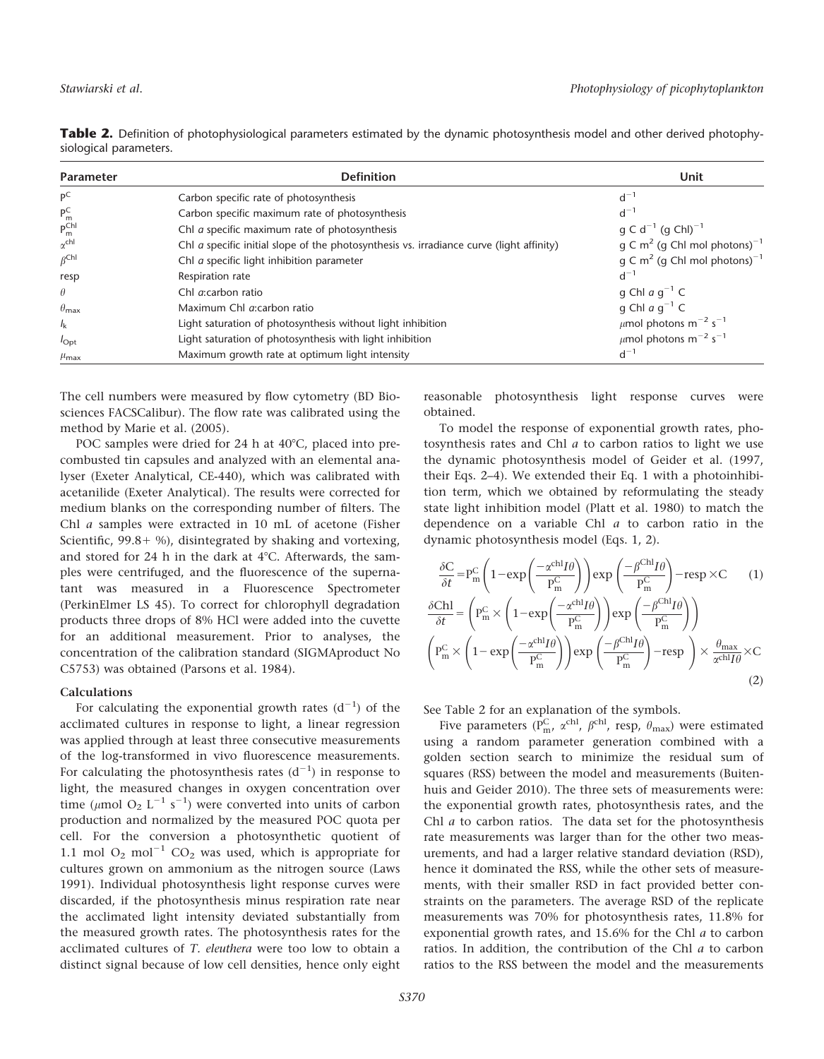| Parameter             | <b>Definition</b>                                                                        | Unit                                                 |
|-----------------------|------------------------------------------------------------------------------------------|------------------------------------------------------|
| $P^C$                 | Carbon specific rate of photosynthesis                                                   | $d^{-1}$                                             |
| $P_m^C$               | Carbon specific maximum rate of photosynthesis                                           | $d^{-1}$                                             |
| $P_{m}^{ChI}$         | Chl a specific maximum rate of photosynthesis                                            | $g \text{ C } d^{-1}$ (g ChI) <sup>-1</sup>          |
| $\alpha$ chl          | Chl a specific initial slope of the photosynthesis vs. irradiance curve (light affinity) | q C m <sup>2</sup> (q Chl mol photons) <sup>-1</sup> |
| $\beta^{\text{ChI}}$  | Chl a specific light inhibition parameter                                                | q C m <sup>2</sup> (q Chl mol photons) <sup>-1</sup> |
| resp                  | Respiration rate                                                                         | $d^{-1}$                                             |
| $\theta$              | Chl <i>a</i> :carbon ratio                                                               | q Chl $a$ q <sup>-1</sup> C                          |
| $\theta_{\text{max}}$ | Maximum Chl a:carbon ratio                                                               | q Chl $a$ q <sup>-1</sup> C                          |
| $I_{\rm k}$           | Light saturation of photosynthesis without light inhibition                              | $\mu$ mol photons m <sup>-2</sup> s <sup>-1</sup>    |
| $I_{\text{Opt}}$      | Light saturation of photosynthesis with light inhibition                                 | $\mu$ mol photons m <sup>-2</sup> s <sup>-1</sup>    |
| $\mu_{\text{max}}$    | Maximum growth rate at optimum light intensity                                           | $d^{-1}$                                             |

Table 2. Definition of photophysiological parameters estimated by the dynamic photosynthesis model and other derived photophysiological parameters.

The cell numbers were measured by flow cytometry (BD Biosciences FACSCalibur). The flow rate was calibrated using the method by Marie et al. (2005).

POC samples were dried for 24 h at  $40^{\circ}$ C, placed into precombusted tin capsules and analyzed with an elemental analyser (Exeter Analytical, CE-440), which was calibrated with acetanilide (Exeter Analytical). The results were corrected for medium blanks on the corresponding number of filters. The Chl a samples were extracted in 10 mL of acetone (Fisher Scientific,  $99.8+$  %), disintegrated by shaking and vortexing, and stored for 24 h in the dark at  $4^{\circ}$ C. Afterwards, the samples were centrifuged, and the fluorescence of the supernatant was measured in a Fluorescence Spectrometer (PerkinElmer LS 45). To correct for chlorophyll degradation products three drops of 8% HCl were added into the cuvette for an additional measurement. Prior to analyses, the concentration of the calibration standard (SIGMAproduct No C5753) was obtained (Parsons et al. 1984).

## Calculations

For calculating the exponential growth rates  $(d^{-1})$  of the acclimated cultures in response to light, a linear regression was applied through at least three consecutive measurements of the log-transformed in vivo fluorescence measurements. For calculating the photosynthesis rates  $(d^{-1})$  in response to light, the measured changes in oxygen concentration over time ( $\mu$ mol O<sub>2</sub> L<sup>-1</sup> s<sup>-1</sup>) were converted into units of carbon production and normalized by the measured POC quota per cell. For the conversion a photosynthetic quotient of 1.1 mol  $O_2$  mol<sup>-1</sup> CO<sub>2</sub> was used, which is appropriate for cultures grown on ammonium as the nitrogen source (Laws 1991). Individual photosynthesis light response curves were discarded, if the photosynthesis minus respiration rate near the acclimated light intensity deviated substantially from the measured growth rates. The photosynthesis rates for the acclimated cultures of T. eleuthera were too low to obtain a distinct signal because of low cell densities, hence only eight

reasonable photosynthesis light response curves were obtained.

To model the response of exponential growth rates, photosynthesis rates and Chl a to carbon ratios to light we use the dynamic photosynthesis model of Geider et al. (1997, their Eqs. 2–4). We extended their Eq. 1 with a photoinhibition term, which we obtained by reformulating the steady state light inhibition model (Platt et al. 1980) to match the dependence on a variable Chl  $a$  to carbon ratio in the dynamic photosynthesis model (Eqs. 1, 2).

$$
\frac{\delta C}{\delta t} = P_m^C \left( 1 - \exp\left(\frac{-\alpha^{ch} I \theta}{P_m^C}\right) \right) \exp\left(\frac{-\beta^{Ch} I \theta}{P_m^C}\right) - \operatorname{resp} \times C \qquad (1)
$$
\n
$$
\frac{\delta Chl}{\delta t} = \left( P_m^C \times \left( 1 - \exp\left(\frac{-\alpha^{ch} I \theta}{P_m^C}\right) \right) \exp\left(\frac{-\beta^{Ch} I \theta}{P_m^C}\right) \right)
$$
\n
$$
\left( P_m^C \times \left( 1 - \exp\left(\frac{-\alpha^{ch} I \theta}{P_m^C}\right) \right) \exp\left(\frac{-\beta^{Ch} I \theta}{P_m^C}\right) - \operatorname{resp} \right) \times \frac{\theta_{\max}}{\alpha^{ch} I \theta} \times C \qquad (2)
$$

See Table 2 for an explanation of the symbols.

Five parameters ( $P_m^C$ ,  $\alpha^{chl}$ ,  $\beta^{chl}$ , resp,  $\theta_{max}$ ) were estimated using a random parameter generation combined with a golden section search to minimize the residual sum of squares (RSS) between the model and measurements (Buitenhuis and Geider 2010). The three sets of measurements were: the exponential growth rates, photosynthesis rates, and the Chl  $a$  to carbon ratios. The data set for the photosynthesis rate measurements was larger than for the other two measurements, and had a larger relative standard deviation (RSD), hence it dominated the RSS, while the other sets of measurements, with their smaller RSD in fact provided better constraints on the parameters. The average RSD of the replicate measurements was 70% for photosynthesis rates, 11.8% for exponential growth rates, and 15.6% for the Chl a to carbon ratios. In addition, the contribution of the Chl a to carbon ratios to the RSS between the model and the measurements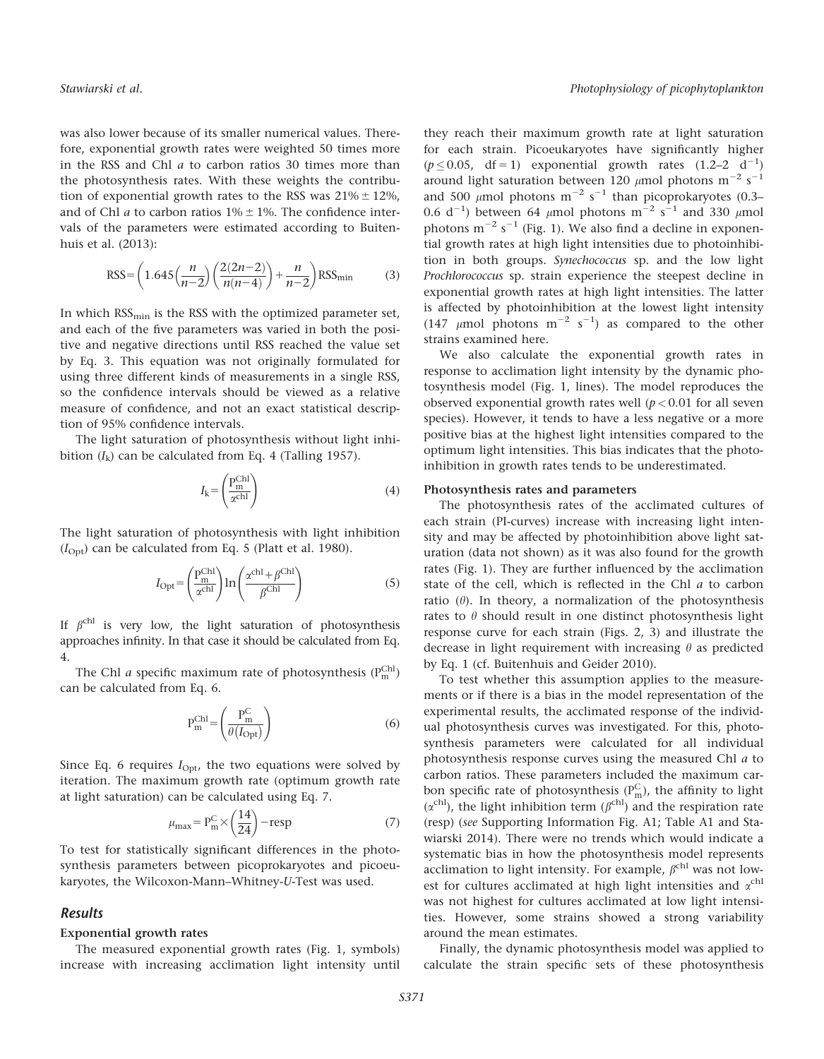was also lower because of its smaller numerical values. Therefore, exponential growth rates were weighted 50 times more in the RSS and Chl a to carbon ratios 30 times more than the photosynthesis rates. With these weights the contribution of exponential growth rates to the RSS was  $21\% \pm 12\%$ , and of Chl *a* to carbon ratios  $1\% \pm 1\%$ . The confidence intervals of the parameters were estimated according to Buitenhuis et al. (2013):

$$
RSS = \left(1.645 \left(\frac{n}{n-2}\right) \left(\frac{2(2n-2)}{n(n-4)}\right) + \frac{n}{n-2}\right) RSS_{\text{min}}\tag{3}
$$

In which  $RSS_{\text{min}}$  is the RSS with the optimized parameter set, and each of the five parameters was varied in both the positive and negative directions until RSS reached the value set by Eq. 3. This equation was not originally formulated for using three different kinds of measurements in a single RSS, so the confidence intervals should be viewed as a relative measure of confidence, and not an exact statistical description of 95% confidence intervals.

The light saturation of photosynthesis without light inhibition  $(I_k)$  can be calculated from Eq. 4 (Talling 1957).

$$
I_{k} = \left(\frac{P_{m}^{Ch1}}{\alpha^{Ch1}}\right) \tag{4}
$$

The light saturation of photosynthesis with light inhibition  $(I<sub>Opt</sub>)$  can be calculated from Eq. 5 (Platt et al. 1980).

$$
I_{\text{Opt}} = \left(\frac{P_{\text{m}}^{\text{Chl}}}{\alpha^{\text{chl}}}\right) \ln \left(\frac{\alpha^{\text{chl}} + \beta^{\text{Chl}}}{\beta^{\text{Chl}}}\right) \tag{5}
$$

If  $\beta^{\text{chl}}$  is very low, the light saturation of photosynthesis approaches infinity. In that case it should be calculated from Eq. 4.

The Chl *a* specific maximum rate of photosynthesis  $(P_m^{\text{Chl}})$ can be calculated from Eq. 6.

$$
P_m^{Chl} = \left(\frac{P_m^C}{\theta(I_{Opt})}\right) \tag{6}
$$

Since Eq. 6 requires  $I_{\text{Opt}}$ , the two equations were solved by iteration. The maximum growth rate (optimum growth rate at light saturation) can be calculated using Eq. 7.

$$
\mu_{\text{max}} = P_{\text{m}}^{\text{C}} \times \left(\frac{14}{24}\right) - \text{resp}
$$
 (7)

To test for statistically significant differences in the photosynthesis parameters between picoprokaryotes and picoeukaryotes, the Wilcoxon-Mann–Whitney-U-Test was used.

# Results

## Exponential growth rates

The measured exponential growth rates (Fig. 1, symbols) increase with increasing acclimation light intensity until

they reach their maximum growth rate at light saturation for each strain. Picoeukaryotes have significantly higher  $(p \le 0.05, \text{ df} = 1)$  exponential growth rates  $(1.2-2 \text{ d}^{-1})$ around light saturation between 120  $\mu$ mol photons m $^{-2}$  s $^{-1}$ and 500  $\mu$ mol photons m<sup>-2</sup> s<sup>-1</sup> than picoprokaryotes (0.3– 0.6 d<sup>-1</sup>) between 64  $\mu$ mol photons m<sup>-2</sup> s<sup>-1</sup> and 330  $\mu$ mol photons  $m^{-2}$  s<sup>-1</sup> (Fig. 1). We also find a decline in exponential growth rates at high light intensities due to photoinhibition in both groups. Synechococcus sp. and the low light Prochlorococcus sp. strain experience the steepest decline in exponential growth rates at high light intensities. The latter is affected by photoinhibition at the lowest light intensity (147  $\mu$ mol photons m<sup>-2</sup> s<sup>-1</sup>) as compared to the other strains examined here.

We also calculate the exponential growth rates in response to acclimation light intensity by the dynamic photosynthesis model (Fig. 1, lines). The model reproduces the observed exponential growth rates well  $(p < 0.01$  for all seven species). However, it tends to have a less negative or a more positive bias at the highest light intensities compared to the optimum light intensities. This bias indicates that the photoinhibition in growth rates tends to be underestimated.

## Photosynthesis rates and parameters

The photosynthesis rates of the acclimated cultures of each strain (PI-curves) increase with increasing light intensity and may be affected by photoinhibition above light saturation (data not shown) as it was also found for the growth rates (Fig. 1). They are further influenced by the acclimation state of the cell, which is reflected in the Chl a to carbon ratio  $(\theta)$ . In theory, a normalization of the photosynthesis rates to  $\theta$  should result in one distinct photosynthesis light response curve for each strain (Figs. 2, 3) and illustrate the decrease in light requirement with increasing  $\theta$  as predicted by Eq. 1 (cf. Buitenhuis and Geider 2010).

To test whether this assumption applies to the measurements or if there is a bias in the model representation of the experimental results, the acclimated response of the individual photosynthesis curves was investigated. For this, photosynthesis parameters were calculated for all individual photosynthesis response curves using the measured Chl a to carbon ratios. These parameters included the maximum carbon specific rate of photosynthesis  $(P_m^C)$ , the affinity to light  $(\alpha^{\text{ch}})$ , the light inhibition term  $(\beta^{\text{ch}})$  and the respiration rate (resp) (see Supporting Information Fig. A1; Table A1 and Stawiarski 2014). There were no trends which would indicate a systematic bias in how the photosynthesis model represents acclimation to light intensity. For example,  $\beta^{\text{chl}}$  was not lowest for cultures acclimated at high light intensities and  $\alpha^{\text{chl}}$ was not highest for cultures acclimated at low light intensities. However, some strains showed a strong variability around the mean estimates.

Finally, the dynamic photosynthesis model was applied to calculate the strain specific sets of these photosynthesis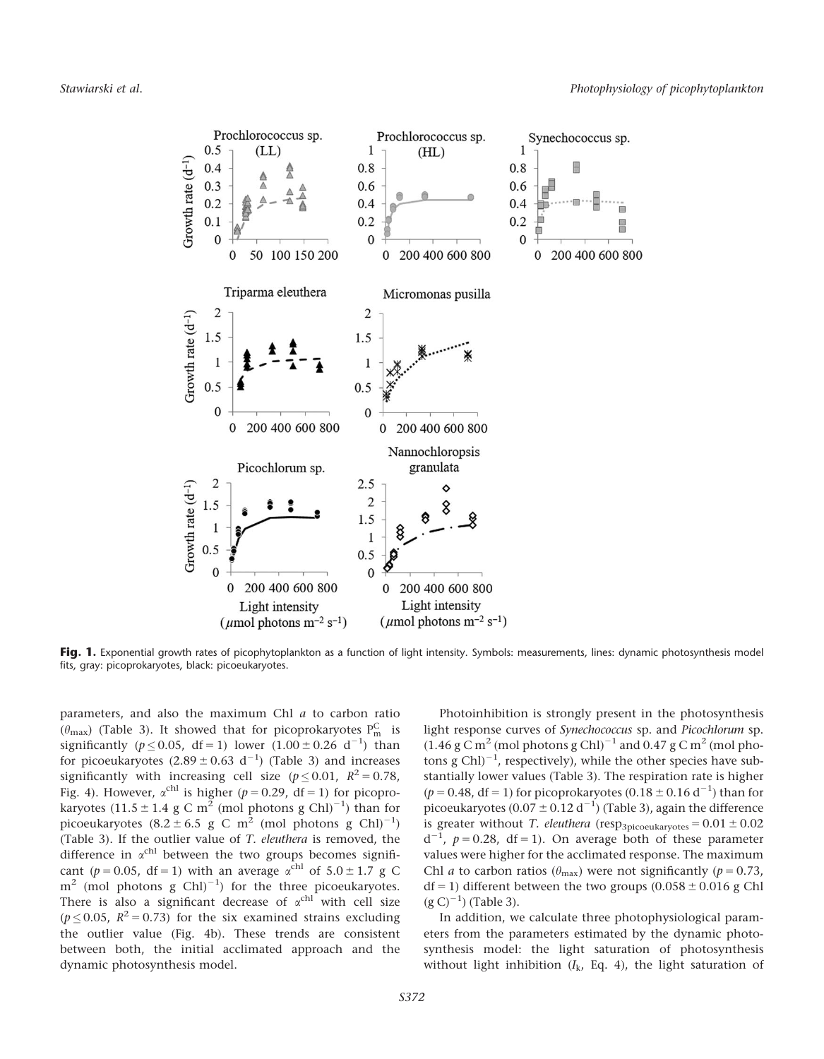

Fig. 1. Exponential growth rates of picophytoplankton as a function of light intensity. Symbols: measurements, lines: dynamic photosynthesis model fits, gray: picoprokaryotes, black: picoeukaryotes.

parameters, and also the maximum Chl a to carbon ratio  $(\theta_{\text{max}})$  (Table 3). It showed that for picoprokaryotes  $P_{\text{m}}^{\text{C}}$  is significantly ( $p \le 0.05$ , df = 1) lower (1.00 ± 0.26 d<sup>-1</sup>) than for picoeukaryotes  $(2.89 \pm 0.63 \text{ d}^{-1})$  (Table 3) and increases significantly with increasing cell size ( $p \le 0.01$ ,  $R^2 = 0.78$ , Fig. 4). However,  $\alpha^{\text{chl}}$  is higher ( $p = 0.29$ , df = 1) for picoprokaryotes  $(11.5 \pm 1.4 \text{ g C m}^2 \text{ (mol photons g Chl)}^{-1})$  than for picoeukaryotes  $(8.2 \pm 6.5 \text{ g C m}^2 \text{ (mol photons g Chl)}^{-1})$ (Table 3). If the outlier value of T. eleuthera is removed, the difference in  $\alpha$ <sup>chl</sup> between the two groups becomes significant ( $p = 0.05$ , df = 1) with an average  $\alpha^{\text{chl}}$  of  $5.0 \pm 1.7$  g C  $m^2$  (mol photons g Chl)<sup>-1</sup>) for the three picoeukaryotes. There is also a significant decrease of  $\alpha^{\text{chl}}$  with cell size ( $p \le 0.05$ ,  $R^2 = 0.73$ ) for the six examined strains excluding the outlier value (Fig. 4b). These trends are consistent between both, the initial acclimated approach and the dynamic photosynthesis model.

Photoinhibition is strongly present in the photosynthesis light response curves of Synechococcus sp. and Picochlorum sp.  $(1.46 \text{ g C m}^2 \text{ (mol photons g Chl)}^{-1}$  and 0.47 g C m<sup>2</sup> (mol photons  $g$  Chl $)^{-1}$ , respectively), while the other species have substantially lower values (Table 3). The respiration rate is higher  $(p = 0.48, df = 1)$  for picoprokaryotes  $(0.18 \pm 0.16 d^{-1})$  than for picoeukaryotes (0.07  $\pm$  0.12 d $^{-1}$ ) (Table 3), again the difference is greater without T. eleuthera (resp<sub>3picoeukaryotes</sub> =  $0.01 \pm 0.02$  $d^{-1}$ ,  $p = 0.28$ , df = 1). On average both of these parameter values were higher for the acclimated response. The maximum Chl *a* to carbon ratios ( $\theta_{\text{max}}$ ) were not significantly ( $p = 0.73$ , df = 1) different between the two groups  $(0.058 \pm 0.016$  g Chl  $(g C)^{-1}$  (Table 3).

In addition, we calculate three photophysiological parameters from the parameters estimated by the dynamic photosynthesis model: the light saturation of photosynthesis without light inhibition  $(I_k, Eq. 4)$ , the light saturation of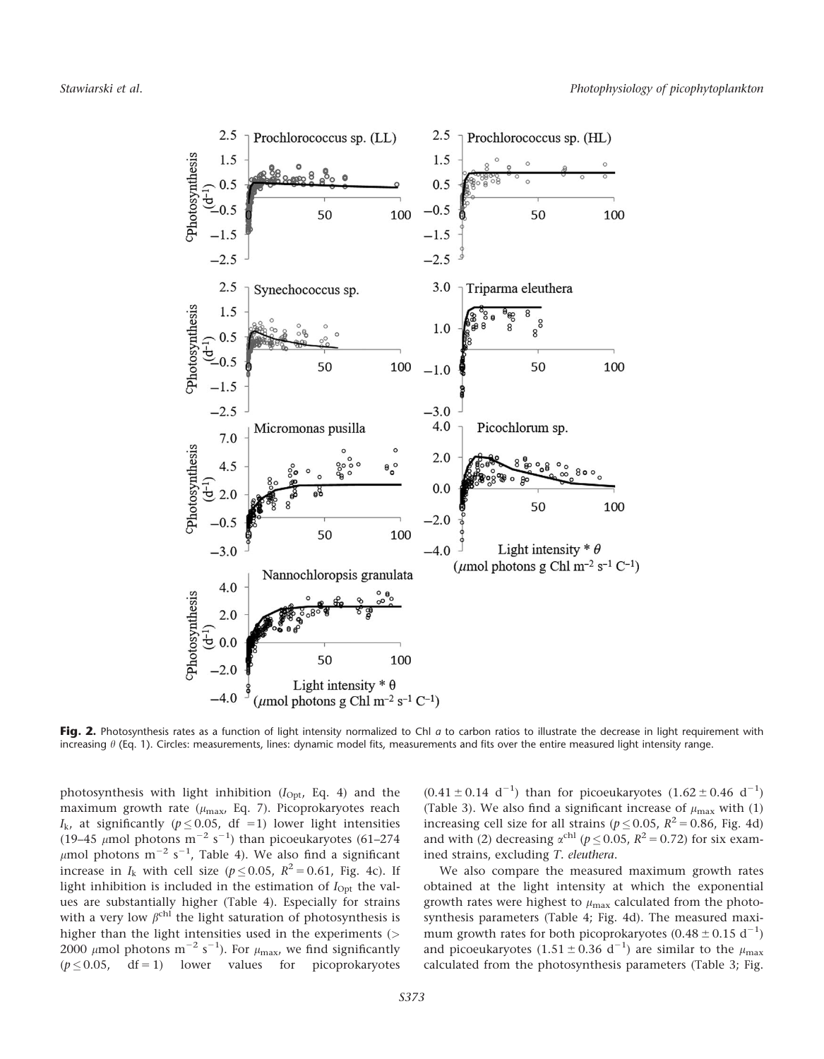

Fig. 2. Photosynthesis rates as a function of light intensity normalized to Chl a to carbon ratios to illustrate the decrease in light requirement with increasing  $\theta$  (Eq. 1). Circles: measurements, lines: dynamic model fits, measurements and fits over the entire measured light intensity range.

photosynthesis with light inhibition  $(I_{\text{Opt}}$ , Eq. 4) and the maximum growth rate ( $\mu_{\text{max}}$ , Eq. 7). Picoprokaryotes reach  $I_{\rm k}$ , at significantly ( $p \leq 0.05$ , df =1) lower light intensities (19–45  $\mu$ mol photons m<sup>-2</sup> s<sup>-1</sup>) than picoeukaryotes (61–274  $\mu$ mol photons m<sup>-2</sup> s<sup>-1</sup>, Table 4). We also find a significant increase in  $I_k$  with cell size ( $p \le 0.05$ ,  $R^2 = 0.61$ , Fig. 4c). If light inhibition is included in the estimation of  $I_{\text{Opt}}$  the values are substantially higher (Table 4). Especially for strains with a very low  $\beta^{\text{chl}}$  the light saturation of photosynthesis is higher than the light intensities used in the experiments (> 2000  $\mu$ mol photons m<sup>-2</sup> s<sup>-1</sup>). For  $\mu_{\text{max}}$ , we find significantly  $(p \le 0.05, \text{ df} = 1)$  lower values for picoprokaryotes

 $(0.41 \pm 0.14 \text{ d}^{-1})$  than for picoeukaryotes  $(1.62 \pm 0.46 \text{ d}^{-1})$ (Table 3). We also find a significant increase of  $\mu_{\text{max}}$  with (1) increasing cell size for all strains ( $p \le 0.05$ ,  $R^2 = 0.86$ , Fig. 4d) and with (2) decreasing  $\alpha^{\text{chl}}$  ( $p \le 0.05$ ,  $R^2 = 0.72$ ) for six examined strains, excluding T. eleuthera.

We also compare the measured maximum growth rates obtained at the light intensity at which the exponential growth rates were highest to  $\mu_{\text{max}}$  calculated from the photosynthesis parameters (Table 4; Fig. 4d). The measured maximum growth rates for both picoprokaryotes  $(0.48 \pm 0.15 \text{ d}^{-1})$ and picoeukaryotes  $(1.51 \pm 0.36 \text{ d}^{-1})$  are similar to the  $\mu_{\text{max}}$ calculated from the photosynthesis parameters (Table 3; Fig.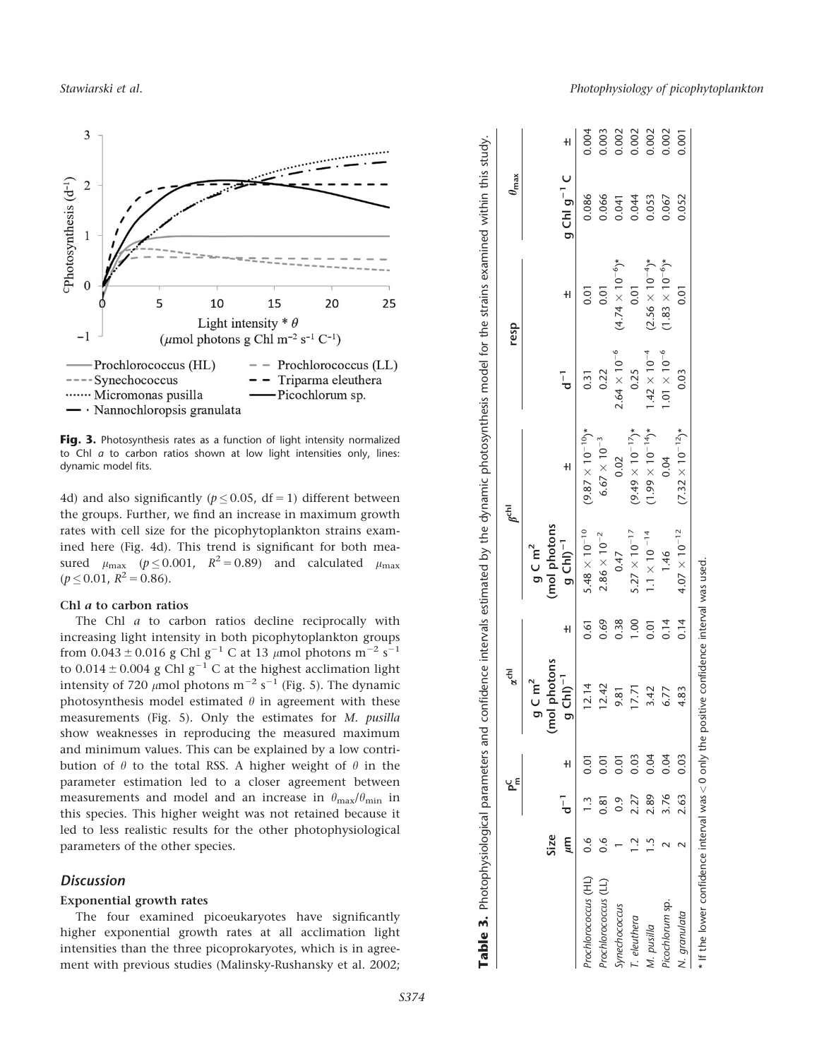

Fig. 3. Photosynthesis rates as a function of light intensity normalized to Chl  $a$  to carbon ratios shown at low light intensities only, lines: dynamic model fits.

4d) and also significantly ( $p \le 0.05$ , df = 1) different between the groups. Further, we find an increase in maximum growth rates with cell size for the picophytoplankton strains examined here (Fig. 4d). This trend is significant for both measured  $\mu_{\text{max}}$  ( $p \le 0.001$ ,  $R^2 = 0.89$ ) and calculated  $\mu_{\text{max}}$  $(p \le 0.01, R^2 = 0.86).$ 

# Chl a to carbon ratios

The Chl *a* to carbon ratios decline reciprocally with increasing light intensity in both picophytoplankton groups from  $0.043 \pm 0.016$  g Chl g<sup>-1</sup> C at 13  $\mu$ mol photons m<sup>-2</sup> s<sup>-1</sup> to  $0.014 \pm 0.004$  g Chl g<sup>-1</sup> C at the highest acclimation light intensity of 720  $\mu$ mol photons m<sup>-2</sup> s<sup>-1</sup> (Fig. 5). The dynamic photosynthesis model estimated  $\theta$  in agreement with these measurements (Fig. 5). Only the estimates for M. pusilla show weaknesses in reproducing the measured maximum and minimum values. This can be explained by a low contribution of  $\theta$  to the total RSS. A higher weight of  $\theta$  in the parameter estimation led to a closer agreement between measurements and model and an increase in  $\theta_{\text{max}}/\theta_{\text{min}}$  in this species. This higher weight was not retained because it led to less realistic results for the other photophysiological parameters of the other species.

# **Discussion**

## Exponential growth rates

The four examined picoeukaryotes have significantly higher exponential growth rates at all acclimation light intensities than the three picoprokaryotes, which is in agreement with previous studies (Malinsky-Rushansky et al. 2002;

|                      |               | ں<br>م    |           | $\alpha^{\text{chl}}$                               |                |                                     | re<br>S                    |                       | resp                      | $\theta_{\text{max}}$ |       |
|----------------------|---------------|-----------|-----------|-----------------------------------------------------|----------------|-------------------------------------|----------------------------|-----------------------|---------------------------|-----------------------|-------|
|                      | Size          |           |           | (mol photons<br>$C \, \text{m}^2$<br>$\bar{\sigma}$ |                | (mol photons<br>$g \subset m^2$     |                            |                       |                           |                       |       |
|                      | πm            | $\bar{a}$ | $\pm$     | 7h<br>$\frac{1}{\sigma}$                            | $\pm$          | $g$ ChI) <sup><math>-1</math></sup> | $\pm$                      | $\bar{d}^-$           | $\pm$                     | $g$ ChI $g^{-1}$ C    | $\pm$ |
| Prochlorococcus (HL) |               |           | š         | 2.14                                                | 0.61           | $5.48 \times 10^{-10}$              | $(9.87 \times 10^{-10})$ * | 0.31                  | 0.01                      | 0.086                 | 0.004 |
| Prochlorococcus (LL) | $\frac{6}{2}$ | 0.81      | <u>ธุ</u> | 12.42                                               | 0.69           | $2.86\times10^{-2}$                 | $6.67\times10^{-3}$        | 0.22                  | 0.01                      | 0.066                 | 0.003 |
| Synechococcus        |               | 0.9       | 5<br>S    | 9.81                                                | 0.38           | 0.47                                | 0.02                       | $2.64\times10^{-6}$   | $(4.74 \times 10^{-6})$ * | 0.041                 | 0.002 |
| T. eleuthera         |               | 2.27      | 0.03      | 7.71                                                | 0.001          | $5.27 \times 10^{-17}$              | $(9.49 \times 10^{-17})$ * | 0.25                  | 0.01                      | 0.044                 | 0.002 |
| M. pusilla           |               | 2.89      | 0.04      | 3.42                                                | $\overline{0}$ | $1.1 \times 10^{-14}$               | $(1.99 \times 10^{-14})$ * | $1.42 \times 10^{-4}$ | $(2.56 \times 10^{-4})$ * | 0.053                 | 0.002 |
| Picochlorum sp.      |               | 3.76      | 0.04      | 6.77                                                | 0.14           | 1.46                                | 0.04                       | $1.01 \times 10^{-6}$ | $(1.83 \times 10^{-6})$ * | 0.067                 | 0.002 |
| N. granulata         |               | 2.63      | 0.03      | 1.83                                                | 0.14           | $4.07 \times 10^{-12}$              | $(7.32 \times 10^{-12})$ * | 0.03                  | $\overline{0}$ .01        | 0.052                 | 0.001 |

Table 3. Photophysiological parameters and confidence intervals estimated by the dynamic photosynthesis model for the strains examined within this study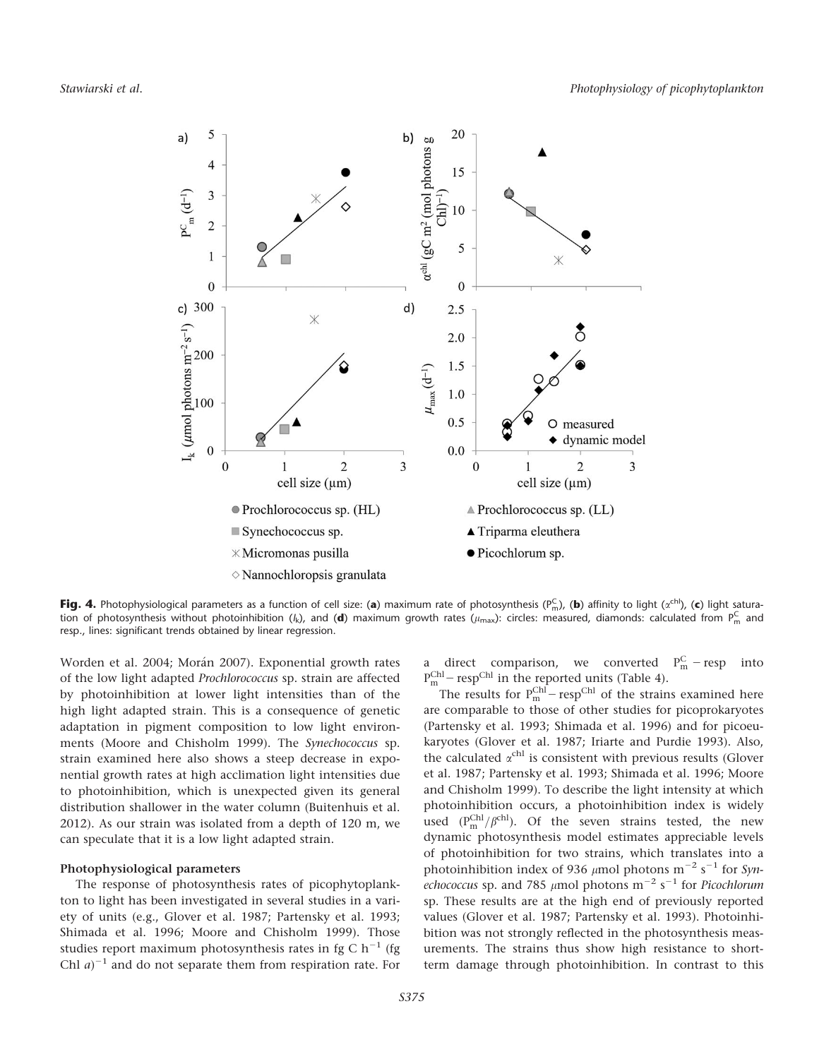

**Fig. 4.** Photophysiological parameters as a function of cell size: (**a**) maximum rate of photosynthesis (P $_{\rm m}^{\rm C}$ ), (**b**) affinity to light ( $\alpha^{\rm ch}$ ), (**c**) light saturation of photosynthesis without photoinhibition (/k), and (**d**) maximum growth rates ( $\mu_{\rm max}$ ): circles: measured, diamonds: calculated from  $P_m^{\rm C}$  and resp., lines: significant trends obtained by linear regression.

Worden et al. 2004; Morán 2007). Exponential growth rates of the low light adapted Prochlorococcus sp. strain are affected by photoinhibition at lower light intensities than of the high light adapted strain. This is a consequence of genetic adaptation in pigment composition to low light environments (Moore and Chisholm 1999). The Synechococcus sp. strain examined here also shows a steep decrease in exponential growth rates at high acclimation light intensities due to photoinhibition, which is unexpected given its general distribution shallower in the water column (Buitenhuis et al. 2012). As our strain was isolated from a depth of 120 m, we can speculate that it is a low light adapted strain.

## Photophysiological parameters

The response of photosynthesis rates of picophytoplankton to light has been investigated in several studies in a variety of units (e.g., Glover et al. 1987; Partensky et al. 1993; Shimada et al. 1996; Moore and Chisholm 1999). Those studies report maximum photosynthesis rates in fg C  $h^{-1}$  (fg Chl  $a$ <sup>-1</sup> and do not separate them from respiration rate. For

a direct comparison, we converted  $P_m^C$  – resp into  $P_m^{\text{Chl}}$  – resp<sup>Chl</sup> in the reported units (Table 4).

The results for  $P_m^{Chl}$  – resp<sup>Chl</sup> of the strains examined here are comparable to those of other studies for picoprokaryotes (Partensky et al. 1993; Shimada et al. 1996) and for picoeukaryotes (Glover et al. 1987; Iriarte and Purdie 1993). Also, the calculated  $\alpha^{\text{chl}}$  is consistent with previous results (Glover et al. 1987; Partensky et al. 1993; Shimada et al. 1996; Moore and Chisholm 1999). To describe the light intensity at which photoinhibition occurs, a photoinhibition index is widely used  $(P_m^{Chl}/\beta^{chl})$ . Of the seven strains tested, the new dynamic photosynthesis model estimates appreciable levels of photoinhibition for two strains, which translates into a photoinhibition index of 936  $\mu$ mol photons m<sup>-2</sup> s<sup>-1</sup> for *Synechococcus* sp. and 785 µmol photons  $\mathrm{m}^{-2}$  s $^{-1}$  for *Picochlorum* sp. These results are at the high end of previously reported values (Glover et al. 1987; Partensky et al. 1993). Photoinhibition was not strongly reflected in the photosynthesis measurements. The strains thus show high resistance to shortterm damage through photoinhibition. In contrast to this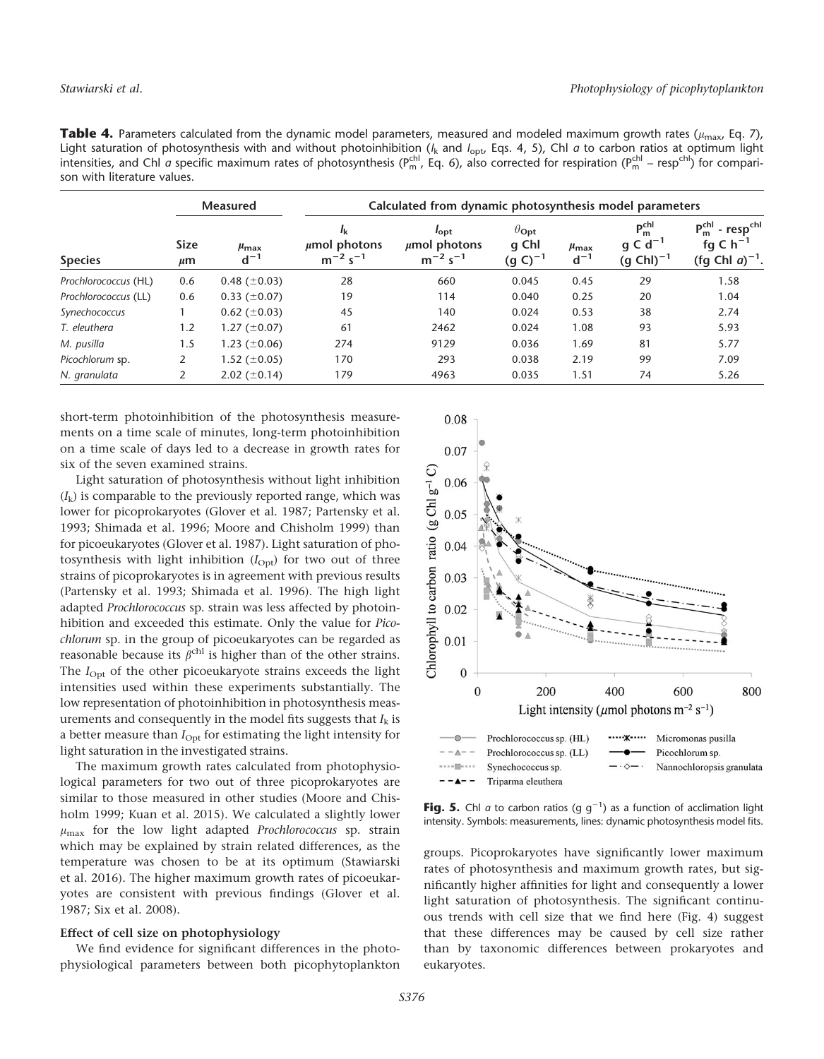Table 4. Parameters calculated from the dynamic model parameters, measured and modeled maximum growth rates ( $\mu_{max}$ , Eq. 7), Light saturation of photosynthesis with and without photoinhibition ( $l_{\rm k}$  and  $l_{\rm opt}$  Eqs. 4, 5), Chl  $a$  to carbon ratios at optimum light intensities, and ChI a specific maximum rates of photosynthesis (P $_{\sf m}^{\sf chl}$ , Eq. 6), also corrected for respiration (P $_{\sf m}^{\sf chl}$  – resp<sup>chI</sup>) for comparison with literature values.

|                      | <b>Measured</b>        |                                | Calculated from dynamic photosynthesis model parameters |                                                   |                                             |                                |                                                        |                                                                                     |  |
|----------------------|------------------------|--------------------------------|---------------------------------------------------------|---------------------------------------------------|---------------------------------------------|--------------------------------|--------------------------------------------------------|-------------------------------------------------------------------------------------|--|
| <b>Species</b>       | <b>Size</b><br>$\mu$ m | $\mu_{\text{max}}$<br>$d^{-1}$ | Ιĸ<br>$\mu$ mol photons<br>$m^{-2} s^{-1}$              | $I_{opt}$<br>$\mu$ mol photons<br>$m^{-2} s^{-1}$ | $\theta_{\rm Opt}$<br>q Chl<br>$(g C)^{-1}$ | $\mu_{\text{max}}$<br>$d^{-1}$ | $P_{m}^{chl}$<br>g C d <sup>-1</sup><br>$(g Chl)^{-1}$ | $P_m^{chl}$ - resp <sup>chl</sup><br>fg C $h^{-1}$<br>(fg Chl $a$ ) <sup>-1</sup> . |  |
| Prochlorococcus (HL) | 0.6                    | 0.48 $(\pm 0.03)$              | 28                                                      | 660                                               | 0.045                                       | 0.45                           | 29                                                     | 1.58                                                                                |  |
| Prochlorococcus (LL) | 0.6                    | $0.33 \ (\pm 0.07)$            | 19                                                      | 114                                               | 0.040                                       | 0.25                           | 20                                                     | 1.04                                                                                |  |
| Synechococcus        |                        | $0.62$ ( $\pm$ 0.03)           | 45                                                      | 140                                               | 0.024                                       | 0.53                           | 38                                                     | 2.74                                                                                |  |
| T. eleuthera         | 1.2                    | 1.27 $(\pm 0.07)$              | 61                                                      | 2462                                              | 0.024                                       | 1.08                           | 93                                                     | 5.93                                                                                |  |
| M. pusilla           | 1.5                    | 1.23 $(\pm 0.06)$              | 274                                                     | 9129                                              | 0.036                                       | 1.69                           | 81                                                     | 5.77                                                                                |  |
| Picochlorum sp.      | 2                      | $1.52 \ (\pm 0.05)$            | 170                                                     | 293                                               | 0.038                                       | 2.19                           | 99                                                     | 7.09                                                                                |  |
| N. granulata         |                        | 2.02 $(\pm 0.14)$              | 179                                                     | 4963                                              | 0.035                                       | 1.51                           | 74                                                     | 5.26                                                                                |  |

short-term photoinhibition of the photosynthesis measurements on a time scale of minutes, long-term photoinhibition on a time scale of days led to a decrease in growth rates for six of the seven examined strains.

Light saturation of photosynthesis without light inhibition  $(I_k)$  is comparable to the previously reported range, which was lower for picoprokaryotes (Glover et al. 1987; Partensky et al. 1993; Shimada et al. 1996; Moore and Chisholm 1999) than for picoeukaryotes (Glover et al. 1987). Light saturation of photosynthesis with light inhibition  $(I_{\text{Opt}})$  for two out of three strains of picoprokaryotes is in agreement with previous results (Partensky et al. 1993; Shimada et al. 1996). The high light adapted Prochlorococcus sp. strain was less affected by photoinhibition and exceeded this estimate. Only the value for Picochlorum sp. in the group of picoeukaryotes can be regarded as reasonable because its  $\beta^{\text{chl}}$  is higher than of the other strains. The  $I_{\text{Opt}}$  of the other picoeukaryote strains exceeds the light intensities used within these experiments substantially. The low representation of photoinhibition in photosynthesis measurements and consequently in the model fits suggests that  $I_k$  is a better measure than  $I_{\text{Opt}}$  for estimating the light intensity for light saturation in the investigated strains.

The maximum growth rates calculated from photophysiological parameters for two out of three picoprokaryotes are similar to those measured in other studies (Moore and Chisholm 1999; Kuan et al. 2015). We calculated a slightly lower  $\mu_{\text{max}}$  for the low light adapted *Prochlorococcus* sp. strain which may be explained by strain related differences, as the temperature was chosen to be at its optimum (Stawiarski et al. 2016). The higher maximum growth rates of picoeukaryotes are consistent with previous findings (Glover et al. 1987; Six et al. 2008).

# Effect of cell size on photophysiology

We find evidence for significant differences in the photophysiological parameters between both picophytoplankton



**Fig. 5.** Chl a to carbon ratios (g  $g^{-1}$ ) as a function of acclimation light intensity. Symbols: measurements, lines: dynamic photosynthesis model fits.

groups. Picoprokaryotes have significantly lower maximum rates of photosynthesis and maximum growth rates, but significantly higher affinities for light and consequently a lower light saturation of photosynthesis. The significant continuous trends with cell size that we find here (Fig. 4) suggest that these differences may be caused by cell size rather than by taxonomic differences between prokaryotes and eukaryotes.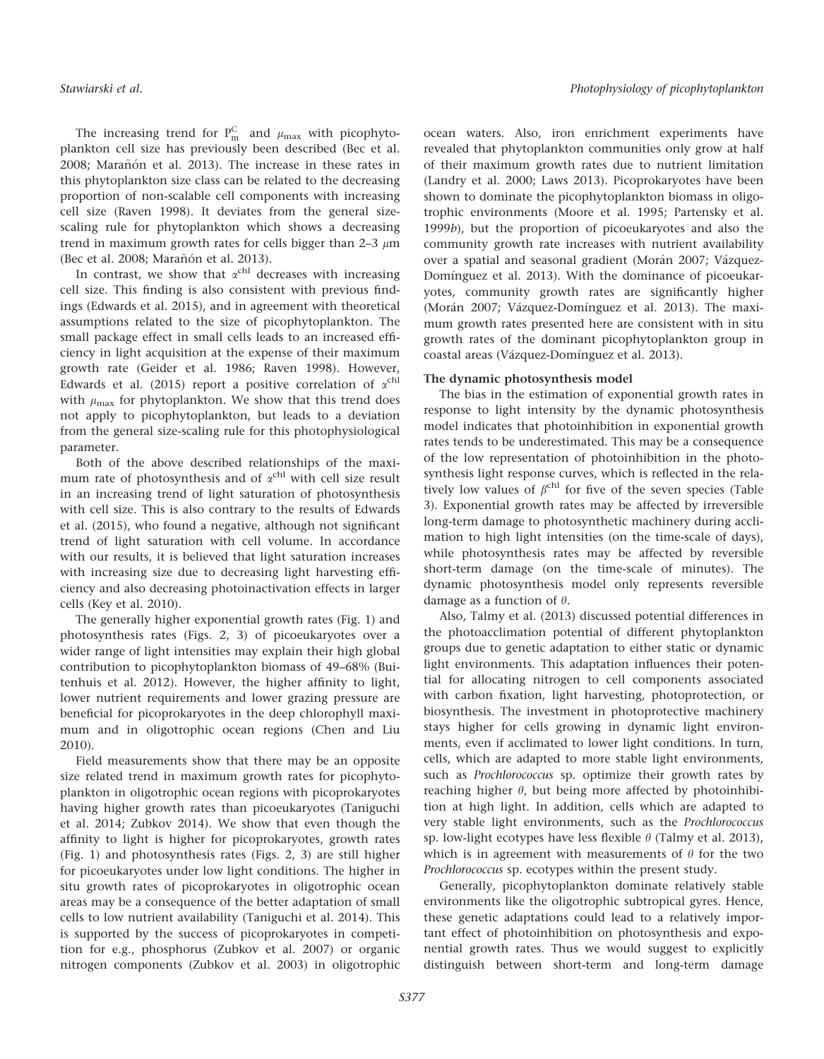The increasing trend for  $P_m^C$  and  $\mu_{max}$  with picophytoplankton cell size has previously been described (Bec et al. 2008; Marañón et al. 2013). The increase in these rates in this phytoplankton size class can be related to the decreasing proportion of non-scalable cell components with increasing cell size (Raven 1998). It deviates from the general sizescaling rule for phytoplankton which shows a decreasing trend in maximum growth rates for cells bigger than 2–3  $\mu$ m (Bec et al. 2008; Marañón et al. 2013).

In contrast, we show that  $\alpha^{\text{chl}}$  decreases with increasing cell size. This finding is also consistent with previous findings (Edwards et al. 2015), and in agreement with theoretical assumptions related to the size of picophytoplankton. The small package effect in small cells leads to an increased efficiency in light acquisition at the expense of their maximum growth rate (Geider et al. 1986; Raven 1998). However, Edwards et al. (2015) report a positive correlation of  $\alpha^{\text{chl}}$ with  $\mu_{\text{max}}$  for phytoplankton. We show that this trend does not apply to picophytoplankton, but leads to a deviation from the general size-scaling rule for this photophysiological parameter.

Both of the above described relationships of the maximum rate of photosynthesis and of  $\alpha^{\text{chl}}$  with cell size result in an increasing trend of light saturation of photosynthesis with cell size. This is also contrary to the results of Edwards et al. (2015), who found a negative, although not significant trend of light saturation with cell volume. In accordance with our results, it is believed that light saturation increases with increasing size due to decreasing light harvesting efficiency and also decreasing photoinactivation effects in larger cells (Key et al. 2010).

The generally higher exponential growth rates (Fig. 1) and photosynthesis rates (Figs. 2, 3) of picoeukaryotes over a wider range of light intensities may explain their high global contribution to picophytoplankton biomass of 49–68% (Buitenhuis et al. 2012). However, the higher affinity to light, lower nutrient requirements and lower grazing pressure are beneficial for picoprokaryotes in the deep chlorophyll maximum and in oligotrophic ocean regions (Chen and Liu 2010).

Field measurements show that there may be an opposite size related trend in maximum growth rates for picophytoplankton in oligotrophic ocean regions with picoprokaryotes having higher growth rates than picoeukaryotes (Taniguchi et al. 2014; Zubkov 2014). We show that even though the affinity to light is higher for picoprokaryotes, growth rates (Fig. 1) and photosynthesis rates (Figs. 2, 3) are still higher for picoeukaryotes under low light conditions. The higher in situ growth rates of picoprokaryotes in oligotrophic ocean areas may be a consequence of the better adaptation of small cells to low nutrient availability (Taniguchi et al. 2014). This is supported by the success of picoprokaryotes in competition for e.g., phosphorus (Zubkov et al. 2007) or organic nitrogen components (Zubkov et al. 2003) in oligotrophic ocean waters. Also, iron enrichment experiments have revealed that phytoplankton communities only grow at half of their maximum growth rates due to nutrient limitation (Landry et al. 2000; Laws 2013). Picoprokaryotes have been shown to dominate the picophytoplankton biomass in oligotrophic environments (Moore et al. 1995; Partensky et al. 1999b), but the proportion of picoeukaryotes and also the community growth rate increases with nutrient availability over a spatial and seasonal gradient (Morán 2007; Vázquez-Domínguez et al. 2013). With the dominance of picoeukaryotes, community growth rates are significantly higher (Morán 2007; Vázquez-Domínguez et al. 2013). The maximum growth rates presented here are consistent with in situ growth rates of the dominant picophytoplankton group in coastal areas (Vázquez-Domínguez et al. 2013).

## The dynamic photosynthesis model

The bias in the estimation of exponential growth rates in response to light intensity by the dynamic photosynthesis model indicates that photoinhibition in exponential growth rates tends to be underestimated. This may be a consequence of the low representation of photoinhibition in the photosynthesis light response curves, which is reflected in the relatively low values of  $\beta^{chl}$  for five of the seven species (Table 3). Exponential growth rates may be affected by irreversible long-term damage to photosynthetic machinery during acclimation to high light intensities (on the time-scale of days), while photosynthesis rates may be affected by reversible short-term damage (on the time-scale of minutes). The dynamic photosynthesis model only represents reversible damage as a function of  $\theta$ .

Also, Talmy et al. (2013) discussed potential differences in the photoacclimation potential of different phytoplankton groups due to genetic adaptation to either static or dynamic light environments. This adaptation influences their potential for allocating nitrogen to cell components associated with carbon fixation, light harvesting, photoprotection, or biosynthesis. The investment in photoprotective machinery stays higher for cells growing in dynamic light environments, even if acclimated to lower light conditions. In turn, cells, which are adapted to more stable light environments, such as Prochlorococcus sp. optimize their growth rates by reaching higher  $\theta$ , but being more affected by photoinhibition at high light. In addition, cells which are adapted to very stable light environments, such as the Prochlorococcus sp. low-light ecotypes have less flexible  $\theta$  (Talmy et al. 2013), which is in agreement with measurements of  $\theta$  for the two Prochlorococcus sp. ecotypes within the present study.

Generally, picophytoplankton dominate relatively stable environments like the oligotrophic subtropical gyres. Hence, these genetic adaptations could lead to a relatively important effect of photoinhibition on photosynthesis and exponential growth rates. Thus we would suggest to explicitly distinguish between short-term and long-term damage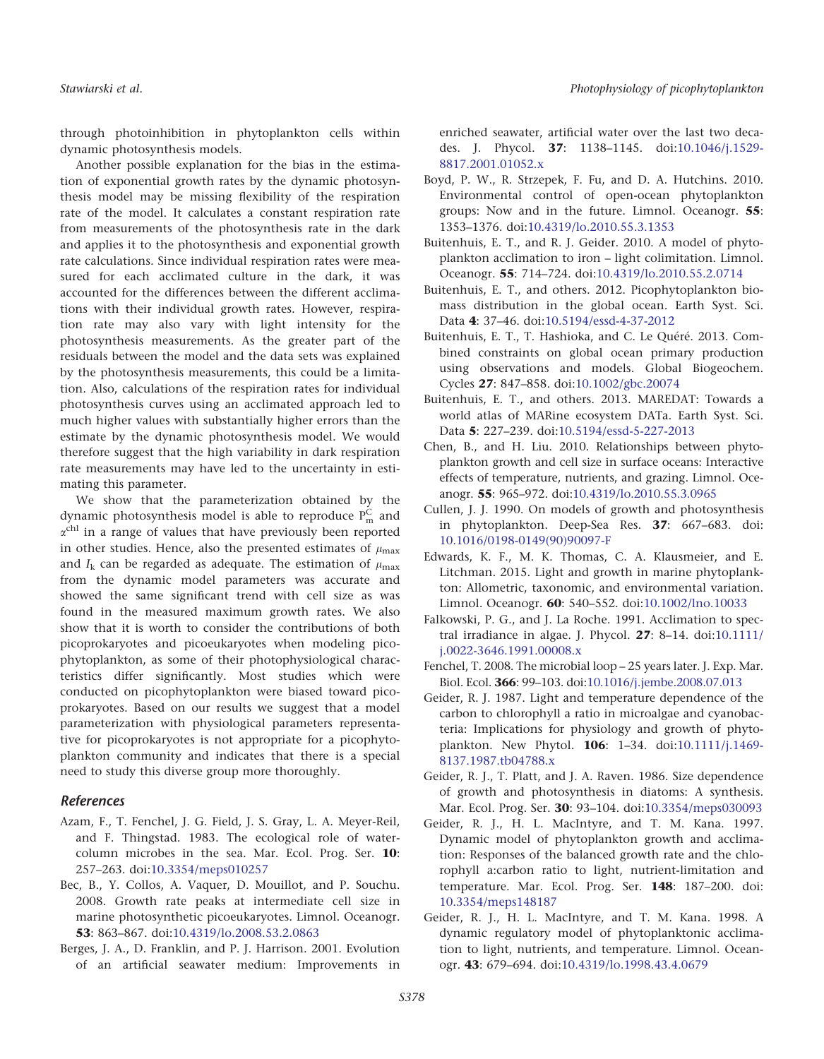through photoinhibition in phytoplankton cells within dynamic photosynthesis models.

Another possible explanation for the bias in the estimation of exponential growth rates by the dynamic photosynthesis model may be missing flexibility of the respiration rate of the model. It calculates a constant respiration rate from measurements of the photosynthesis rate in the dark and applies it to the photosynthesis and exponential growth rate calculations. Since individual respiration rates were measured for each acclimated culture in the dark, it was accounted for the differences between the different acclimations with their individual growth rates. However, respiration rate may also vary with light intensity for the photosynthesis measurements. As the greater part of the residuals between the model and the data sets was explained by the photosynthesis measurements, this could be a limitation. Also, calculations of the respiration rates for individual photosynthesis curves using an acclimated approach led to much higher values with substantially higher errors than the estimate by the dynamic photosynthesis model. We would therefore suggest that the high variability in dark respiration rate measurements may have led to the uncertainty in estimating this parameter.

We show that the parameterization obtained by the dynamic photosynthesis model is able to reproduce  $P_m^C$  and  $\alpha^{\text{chl}}$  in a range of values that have previously been reported in other studies. Hence, also the presented estimates of  $\mu_{\text{max}}$ and  $I_k$  can be regarded as adequate. The estimation of  $\mu_{\text{max}}$ from the dynamic model parameters was accurate and showed the same significant trend with cell size as was found in the measured maximum growth rates. We also show that it is worth to consider the contributions of both picoprokaryotes and picoeukaryotes when modeling picophytoplankton, as some of their photophysiological characteristics differ significantly. Most studies which were conducted on picophytoplankton were biased toward picoprokaryotes. Based on our results we suggest that a model parameterization with physiological parameters representative for picoprokaryotes is not appropriate for a picophytoplankton community and indicates that there is a special need to study this diverse group more thoroughly.

# References

- Azam, F., T. Fenchel, J. G. Field, J. S. Gray, L. A. Meyer-Reil, and F. Thingstad. 1983. The ecological role of watercolumn microbes in the sea. Mar. Ecol. Prog. Ser. 10: 257–263. doi[:10.3354/meps010257](http://dx.doi.org/10.3354/meps010257)
- Bec, B., Y. Collos, A. Vaquer, D. Mouillot, and P. Souchu. 2008. Growth rate peaks at intermediate cell size in marine photosynthetic picoeukaryotes. Limnol. Oceanogr. 53: 863–867. doi[:10.4319/lo.2008.53.2.0863](http://dx.doi.org/10.4319/lo.2008.53.2.0863)
- Berges, J. A., D. Franklin, and P. J. Harrison. 2001. Evolution of an artificial seawater medium: Improvements in

enriched seawater, artificial water over the last two decades. J. Phycol. 37: 1138–1145. doi:[10.1046/j.1529-](http://dx.doi.org/10.1046/j.1529-8817.2001.01052.x) [8817.2001.01052.x](http://dx.doi.org/10.1046/j.1529-8817.2001.01052.x)

- Boyd, P. W., R. Strzepek, F. Fu, and D. A. Hutchins. 2010. Environmental control of open-ocean phytoplankton groups: Now and in the future. Limnol. Oceanogr. 55: 1353–1376. doi:[10.4319/lo.2010.55.3.1353](http://dx.doi.org/10.4319/lo.2010.55.3.1353)
- Buitenhuis, E. T., and R. J. Geider. 2010. A model of phytoplankton acclimation to iron – light colimitation. Limnol. Oceanogr. 55: 714–724. doi[:10.4319/lo.2010.55.2.0714](http://dx.doi.org/10.4319/lo.2010.55.2.0714)
- Buitenhuis, E. T., and others. 2012. Picophytoplankton biomass distribution in the global ocean. Earth Syst. Sci. Data 4: 37–46. doi:[10.5194/essd-4-37-2012](http://dx.doi.org/10.5194/essd-4-37-2012)
- Buitenhuis, E. T., T. Hashioka, and C. Le Quéré. 2013. Combined constraints on global ocean primary production using observations and models. Global Biogeochem. Cycles 27: 847–858. doi[:10.1002/gbc.20074](http://dx.doi.org/10.1002/gbc.20074)
- Buitenhuis, E. T., and others. 2013. MAREDAT: Towards a world atlas of MARine ecosystem DATa. Earth Syst. Sci. Data 5: 227–239. doi[:10.5194/essd-5-227-2013](http://dx.doi.org/10.5194/essd-5-227-2013)
- Chen, B., and H. Liu. 2010. Relationships between phytoplankton growth and cell size in surface oceans: Interactive effects of temperature, nutrients, and grazing. Limnol. Oceanogr. 55: 965–972. doi[:10.4319/lo.2010.55.3.0965](http://dx.doi.org/10.4319/lo.2010.55.3.0965)
- Cullen, J. J. 1990. On models of growth and photosynthesis in phytoplankton. Deep-Sea Res. 37: 667–683. doi: [10.1016/0198-0149\(90\)90097-F](http://dx.doi.org/10.1016/0198-0149(90)90097-F)
- Edwards, K. F., M. K. Thomas, C. A. Klausmeier, and E. Litchman. 2015. Light and growth in marine phytoplankton: Allometric, taxonomic, and environmental variation. Limnol. Oceanogr. 60: 540–552. doi[:10.1002/lno.10033](http://dx.doi.org/10.1002/lno.10033)
- Falkowski, P. G., and J. La Roche. 1991. Acclimation to spectral irradiance in algae. J. Phycol. 27: 8–14. doi:[10.1111/](http://dx.doi.org/10.1111/j.0022-3646.1991.00008.x) [j.0022-3646.1991.00008.x](http://dx.doi.org/10.1111/j.0022-3646.1991.00008.x)
- Fenchel, T. 2008. The microbial loop 25 years later. J. Exp. Mar. Biol. Ecol. 366: 99–103. doi[:10.1016/j.jembe.2008.07.013](http://dx.doi.org/10.1016/j.jembe.2008.07.013)
- Geider, R. J. 1987. Light and temperature dependence of the carbon to chlorophyll a ratio in microalgae and cyanobacteria: Implications for physiology and growth of phytoplankton. New Phytol. 106: 1–34. doi:[10.1111/j.1469-](http://dx.doi.org/10.1111/j.1469-8137.1987.tb04788.x) [8137.1987.tb04788.x](http://dx.doi.org/10.1111/j.1469-8137.1987.tb04788.x)
- Geider, R. J., T. Platt, and J. A. Raven. 1986. Size dependence of growth and photosynthesis in diatoms: A synthesis. Mar. Ecol. Prog. Ser. 30: 93–104. doi[:10.3354/meps030093](http://dx.doi.org/10.3354/meps030093)
- Geider, R. J., H. L. MacIntyre, and T. M. Kana. 1997. Dynamic model of phytoplankton growth and acclimation: Responses of the balanced growth rate and the chlorophyll a:carbon ratio to light, nutrient-limitation and temperature. Mar. Ecol. Prog. Ser. 148: 187–200. doi: [10.3354/meps148187](http://dx.doi.org/10.3354/meps148187)
- Geider, R. J., H. L. MacIntyre, and T. M. Kana. 1998. A dynamic regulatory model of phytoplanktonic acclimation to light, nutrients, and temperature. Limnol. Oceanogr. 43: 679–694. doi[:10.4319/lo.1998.43.4.0679](http://dx.doi.org/10.4319/lo.1998.43.4.0679)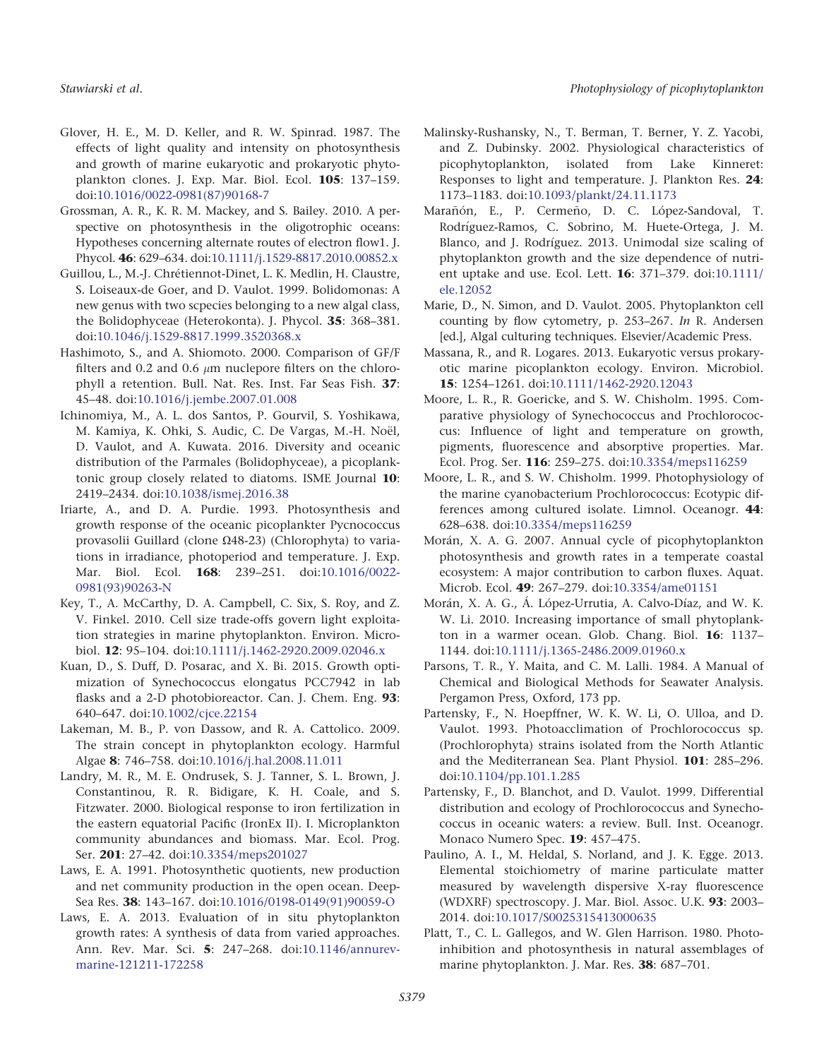- Glover, H. E., M. D. Keller, and R. W. Spinrad. 1987. The effects of light quality and intensity on photosynthesis and growth of marine eukaryotic and prokaryotic phytoplankton clones. J. Exp. Mar. Biol. Ecol. 105: 137–159. doi[:10.1016/0022-0981\(87\)90168-7](http://dx.doi.org/10.1016/0022-0981(87)90168-7)
- Grossman, A. R., K. R. M. Mackey, and S. Bailey. 2010. A perspective on photosynthesis in the oligotrophic oceans: Hypotheses concerning alternate routes of electron flow1. J. Phycol. 46: 629–634. doi:[10.1111/j.1529-8817.2010.00852.x](http://dx.doi.org/10.1111/j.1529-8817.2010.00852.x)
- Guillou, L., M.-J. Chrétiennot-Dinet, L. K. Medlin, H. Claustre, S. Loiseaux-de Goer, and D. Vaulot. 1999. Bolidomonas: A new genus with two scpecies belonging to a new algal class, the Bolidophyceae (Heterokonta). J. Phycol. 35: 368–381. doi[:10.1046/j.1529-8817.1999.3520368.x](http://dx.doi.org/10.1046/j.1529-8817.1999.3520368.x)
- Hashimoto, S., and A. Shiomoto. 2000. Comparison of GF/F filters and 0.2 and 0.6  $\mu$ m nuclepore filters on the chlorophyll a retention. Bull. Nat. Res. Inst. Far Seas Fish. 37: 45–48. doi:[10.1016/j.jembe.2007.01.008](http://dx.doi.org/10.1016/j.jembe.2007.01.008)
- Ichinomiya, M., A. L. dos Santos, P. Gourvil, S. Yoshikawa, M. Kamiya, K. Ohki, S. Audic, C. De Vargas, M.-H. Noël, D. Vaulot, and A. Kuwata. 2016. Diversity and oceanic distribution of the Parmales (Bolidophyceae), a picoplanktonic group closely related to diatoms. ISME Journal 10: 2419–2434. doi:[10.1038/ismej.2016.38](http://dx.doi.org/10.1038/ismej.2016.38)
- Iriarte, A., and D. A. Purdie. 1993. Photosynthesis and growth response of the oceanic picoplankter Pycnococcus provasolii Guillard (clone  $\Omega$ 48-23) (Chlorophyta) to variations in irradiance, photoperiod and temperature. J. Exp. Mar. Biol. Ecol. 168: 239–251. doi[:10.1016/0022-](http://dx.doi.org/10.1016/0022-0981(93)90263-N) [0981\(93\)90263-N](http://dx.doi.org/10.1016/0022-0981(93)90263-N)
- Key, T., A. McCarthy, D. A. Campbell, C. Six, S. Roy, and Z. V. Finkel. 2010. Cell size trade-offs govern light exploitation strategies in marine phytoplankton. Environ. Microbiol. 12: 95–104. doi:[10.1111/j.1462-2920.2009.02046.x](http://dx.doi.org/10.1111/j.1462-2920.2009.02046.x)
- Kuan, D., S. Duff, D. Posarac, and X. Bi. 2015. Growth optimization of Synechococcus elongatus PCC7942 in lab flasks and a 2-D photobioreactor. Can. J. Chem. Eng. 93: 640–647. doi[:10.1002/cjce.22154](http://dx.doi.org/10.1002/cjce.22154)
- Lakeman, M. B., P. von Dassow, and R. A. Cattolico. 2009. The strain concept in phytoplankton ecology. Harmful Algae 8: 746–758. doi[:10.1016/j.hal.2008.11.011](http://dx.doi.org/10.1016/j.hal.2008.11.011)
- Landry, M. R., M. E. Ondrusek, S. J. Tanner, S. L. Brown, J. Constantinou, R. R. Bidigare, K. H. Coale, and S. Fitzwater. 2000. Biological response to iron fertilization in the eastern equatorial Pacific (IronEx II). I. Microplankton community abundances and biomass. Mar. Ecol. Prog. Ser. 201: 27–42. doi[:10.3354/meps201027](http://dx.doi.org/10.3354/meps201027)
- Laws, E. A. 1991. Photosynthetic quotients, new production and net community production in the open ocean. Deep-Sea Res. 38: 143–167. doi[:10.1016/0198-0149\(91\)90059-O](http://dx.doi.org/10.1016/0198-0149(91)90059-O)
- Laws, E. A. 2013. Evaluation of in situ phytoplankton growth rates: A synthesis of data from varied approaches. Ann. Rev. Mar. Sci. 5: 247–268. doi[:10.1146/annurev](http://dx.doi.org/10.1146/annurev-marine-121211-172258)[marine-121211-172258](http://dx.doi.org/10.1146/annurev-marine-121211-172258)
- Malinsky-Rushansky, N., T. Berman, T. Berner, Y. Z. Yacobi, and Z. Dubinsky. 2002. Physiological characteristics of picophytoplankton, isolated from Lake Kinneret: Responses to light and temperature. J. Plankton Res. 24: 1173–1183. doi:[10.1093/plankt/24.11.1173](http://dx.doi.org/10.1093/plankt/24.11.1173)
- Marañón, E., P. Cermeño, D. C. López-Sandoval, T. Rodríguez-Ramos, C. Sobrino, M. Huete-Ortega, J. M. Blanco, and J. Rodríguez. 2013. Unimodal size scaling of phytoplankton growth and the size dependence of nutrient uptake and use. Ecol. Lett. 16: 371–379. doi:[10.1111/](http://dx.doi.org/10.1111/ele.12052) [ele.12052](http://dx.doi.org/10.1111/ele.12052)
- Marie, D., N. Simon, and D. Vaulot. 2005. Phytoplankton cell counting by flow cytometry, p. 253–267. In R. Andersen [ed.], Algal culturing techniques. Elsevier/Academic Press.
- Massana, R., and R. Logares. 2013. Eukaryotic versus prokaryotic marine picoplankton ecology. Environ. Microbiol. 15: 1254–1261. doi[:10.1111/1462-2920.12043](http://dx.doi.org/10.1111/1462-2920.12043)
- Moore, L. R., R. Goericke, and S. W. Chisholm. 1995. Comparative physiology of Synechococcus and Prochlorococcus: Influence of light and temperature on growth, pigments, fluorescence and absorptive properties. Mar. Ecol. Prog. Ser. 116: 259–275. doi:[10.3354/meps116259](http://dx.doi.org/10.3354/meps116259)
- Moore, L. R., and S. W. Chisholm. 1999. Photophysiology of the marine cyanobacterium Prochlorococcus: Ecotypic differences among cultured isolate. Limnol. Oceanogr. 44: 628–638. doi[:10.3354/meps116259](http://dx.doi.org/10.3354/meps116259)
- Morán, X. A. G. 2007. Annual cycle of picophytoplankton photosynthesis and growth rates in a temperate coastal ecosystem: A major contribution to carbon fluxes. Aquat. Microb. Ecol. 49: 267–279. doi:[10.3354/ame01151](http://dx.doi.org/10.3354/ame01151)
- Morán, X. A. G., Á. López-Urrutia, A. Calvo-Díaz, and W. K. W. Li. 2010. Increasing importance of small phytoplankton in a warmer ocean. Glob. Chang. Biol. 16: 1137– 1144. doi[:10.1111/j.1365-2486.2009.01960.x](http://dx.doi.org/10.1111/j.1365-2486.2009.01960.x)
- Parsons, T. R., Y. Maita, and C. M. Lalli. 1984. A Manual of Chemical and Biological Methods for Seawater Analysis. Pergamon Press, Oxford, 173 pp.
- Partensky, F., N. Hoepffner, W. K. W. Li, O. Ulloa, and D. Vaulot. 1993. Photoacclimation of Prochlorococcus sp. (Prochlorophyta) strains isolated from the North Atlantic and the Mediterranean Sea. Plant Physiol. 101: 285–296. doi[:10.1104/pp.101.1.285](http://dx.doi.org/10.1104/pp.101.1.285)
- Partensky, F., D. Blanchot, and D. Vaulot. 1999. Differential distribution and ecology of Prochlorococcus and Synechococcus in oceanic waters: a review. Bull. Inst. Oceanogr. Monaco Numero Spec. 19: 457–475.
- Paulino, A. I., M. Heldal, S. Norland, and J. K. Egge. 2013. Elemental stoichiometry of marine particulate matter measured by wavelength dispersive X-ray fluorescence (WDXRF) spectroscopy. J. Mar. Biol. Assoc. U.K. 93: 2003– 2014. doi[:10.1017/S0025315413000635](http://dx.doi.org/10.1017/S0025315413000635)
- Platt, T., C. L. Gallegos, and W. Glen Harrison. 1980. Photoinhibition and photosynthesis in natural assemblages of marine phytoplankton. J. Mar. Res. 38: 687–701.